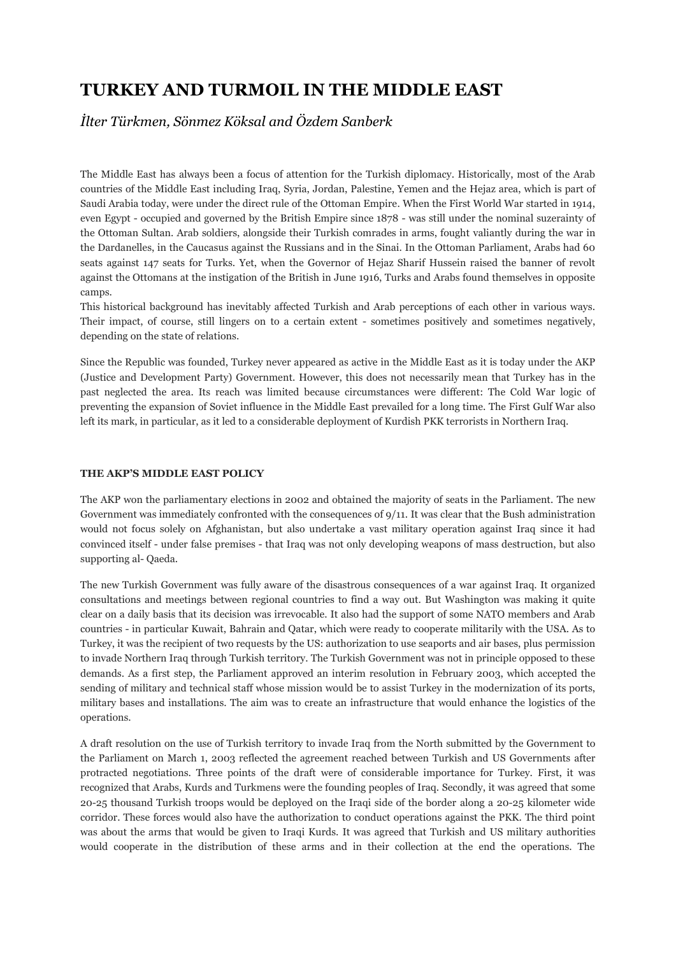## **TURKEY AND TURMOIL IN THE MIDDLE EAST**

*İlter Türkmen, Sönmez Köksal and Özdem Sanberk* 

The Middle East has always been a focus of attention for the Turkish diplomacy. Historically, most of the Arab countries of the Middle East including Iraq, Syria, Jordan, Palestine, Yemen and the Hejaz area, which is part of Saudi Arabia today, were under the direct rule of the Ottoman Empire. When the First World War started in 1914, even Egypt - occupied and governed by the British Empire since 1878 - was still under the nominal suzerainty of the Ottoman Sultan. Arab soldiers, alongside their Turkish comrades in arms, fought valiantly during the war in the Dardanelles, in the Caucasus against the Russians and in the Sinai. In the Ottoman Parliament, Arabs had 60 seats against 147 seats for Turks. Yet, when the Governor of Hejaz Sharif Hussein raised the banner of revolt against the Ottomans at the instigation of the British in June 1916, Turks and Arabs found themselves in opposite camps.

This historical background has inevitably affected Turkish and Arab perceptions of each other in various ways. Their impact, of course, still lingers on to a certain extent - sometimes positively and sometimes negatively, depending on the state of relations.

Since the Republic was founded, Turkey never appeared as active in the Middle East as it is today under the AKP (Justice and Development Party) Government. However, this does not necessarily mean that Turkey has in the past neglected the area. Its reach was limited because circumstances were different: The Cold War logic of preventing the expansion of Soviet influence in the Middle East prevailed for a long time. The First Gulf War also left its mark, in particular, as it led to a considerable deployment of Kurdish PKK terrorists in Northern Iraq.

## **THE AKP'S MIDDLE EAST POLICY**

The AKP won the parliamentary elections in 2002 and obtained the majority of seats in the Parliament. The new Government was immediately confronted with the consequences of 9/11. It was clear that the Bush administration would not focus solely on Afghanistan, but also undertake a vast military operation against Iraq since it had convinced itself - under false premises - that Iraq was not only developing weapons of mass destruction, but also supporting al- Qaeda.

The new Turkish Government was fully aware of the disastrous consequences of a war against Iraq. It organized consultations and meetings between regional countries to find a way out. But Washington was making it quite clear on a daily basis that its decision was irrevocable. It also had the support of some NATO members and Arab countries - in particular Kuwait, Bahrain and Qatar, which were ready to cooperate militarily with the USA. As to Turkey, it was the recipient of two requests by the US: authorization to use seaports and air bases, plus permission to invade Northern Iraq through Turkish territory. The Turkish Government was not in principle opposed to these demands. As a first step, the Parliament approved an interim resolution in February 2003, which accepted the sending of military and technical staff whose mission would be to assist Turkey in the modernization of its ports, military bases and installations. The aim was to create an infrastructure that would enhance the logistics of the operations.

A draft resolution on the use of Turkish territory to invade Iraq from the North submitted by the Government to the Parliament on March 1, 2003 reflected the agreement reached between Turkish and US Governments after protracted negotiations. Three points of the draft were of considerable importance for Turkey. First, it was recognized that Arabs, Kurds and Turkmens were the founding peoples of Iraq. Secondly, it was agreed that some 20-25 thousand Turkish troops would be deployed on the Iraqi side of the border along a 20-25 kilometer wide corridor. These forces would also have the authorization to conduct operations against the PKK. The third point was about the arms that would be given to Iraqi Kurds. It was agreed that Turkish and US military authorities would cooperate in the distribution of these arms and in their collection at the end the operations. The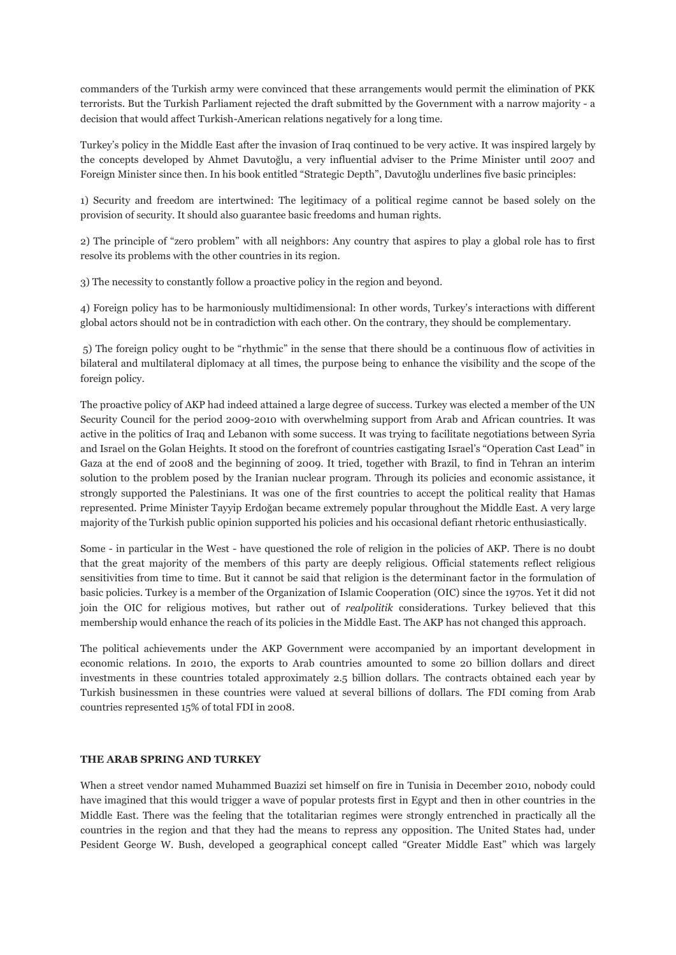commanders of the Turkish army were convinced that these arrangements would permit the elimination of PKK terrorists. But the Turkish Parliament rejected the draft submitted by the Government with a narrow majority - a decision that would affect Turkish-American relations negatively for a long time.

Turkey's policy in the Middle East after the invasion of Iraq continued to be very active. It was inspired largely by the concepts developed by Ahmet Davutoğlu, a very influential adviser to the Prime Minister until 2007 and Foreign Minister since then. In his book entitled "Strategic Depth", Davutoğlu underlines five basic principles:

1) Security and freedom are intertwined: The legitimacy of a political regime cannot be based solely on the provision of security. It should also guarantee basic freedoms and human rights.

2) The principle of "zero problem" with all neighbors: Any country that aspires to play a global role has to first resolve its problems with the other countries in its region.

3) The necessity to constantly follow a proactive policy in the region and beyond.

4) Foreign policy has to be harmoniously multidimensional: In other words, Turkey's interactions with different global actors should not be in contradiction with each other. On the contrary, they should be complementary.

5) The foreign policy ought to be "rhythmic" in the sense that there should be a continuous flow of activities in bilateral and multilateral diplomacy at all times, the purpose being to enhance the visibility and the scope of the foreign policy.

The proactive policy of AKP had indeed attained a large degree of success. Turkey was elected a member of the UN Security Council for the period 2009-2010 with overwhelming support from Arab and African countries. It was active in the politics of Iraq and Lebanon with some success. It was trying to facilitate negotiations between Syria and Israel on the Golan Heights. It stood on the forefront of countries castigating Israel's "Operation Cast Lead" in Gaza at the end of 2008 and the beginning of 2009. It tried, together with Brazil, to find in Tehran an interim solution to the problem posed by the Iranian nuclear program. Through its policies and economic assistance, it strongly supported the Palestinians. It was one of the first countries to accept the political reality that Hamas represented. Prime Minister Tayyip Erdoğan became extremely popular throughout the Middle East. A very large majority of the Turkish public opinion supported his policies and his occasional defiant rhetoric enthusiastically.

Some - in particular in the West - have questioned the role of religion in the policies of AKP. There is no doubt that the great majority of the members of this party are deeply religious. Official statements reflect religious sensitivities from time to time. But it cannot be said that religion is the determinant factor in the formulation of basic policies. Turkey is a member of the Organization of Islamic Cooperation (OIC) since the 1970s. Yet it did not join the OIC for religious motives, but rather out of *realpolitik* considerations. Turkey believed that this membership would enhance the reach of its policies in the Middle East. The AKP has not changed this approach.

The political achievements under the AKP Government were accompanied by an important development in economic relations. In 2010, the exports to Arab countries amounted to some 20 billion dollars and direct investments in these countries totaled approximately 2.5 billion dollars. The contracts obtained each year by Turkish businessmen in these countries were valued at several billions of dollars. The FDI coming from Arab countries represented 15% of total FDI in 2008.

## **THE ARAB SPRING AND TURKEY**

When a street vendor named Muhammed Buazizi set himself on fire in Tunisia in December 2010, nobody could have imagined that this would trigger a wave of popular protests first in Egypt and then in other countries in the Middle East. There was the feeling that the totalitarian regimes were strongly entrenched in practically all the countries in the region and that they had the means to repress any opposition. The United States had, under Pesident George W. Bush, developed a geographical concept called "Greater Middle East" which was largely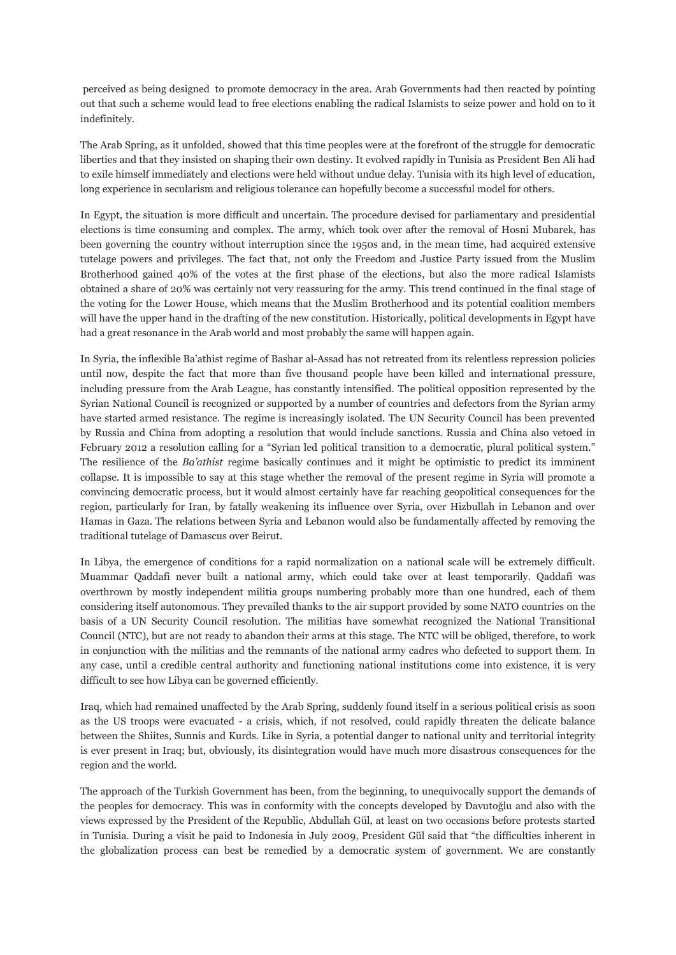perceived as being designed to promote democracy in the area. Arab Governments had then reacted by pointing out that such a scheme would lead to free elections enabling the radical Islamists to seize power and hold on to it indefinitely.

The Arab Spring, as it unfolded, showed that this time peoples were at the forefront of the struggle for democratic liberties and that they insisted on shaping their own destiny. It evolved rapidly in Tunisia as President Ben Ali had to exile himself immediately and elections were held without undue delay. Tunisia with its high level of education, long experience in secularism and religious tolerance can hopefully become a successful model for others.

In Egypt, the situation is more difficult and uncertain. The procedure devised for parliamentary and presidential elections is time consuming and complex. The army, which took over after the removal of Hosni Mubarek, has been governing the country without interruption since the 1950s and, in the mean time, had acquired extensive tutelage powers and privileges. The fact that, not only the Freedom and Justice Party issued from the Muslim Brotherhood gained 40% of the votes at the first phase of the elections, but also the more radical Islamists obtained a share of 20% was certainly not very reassuring for the army. This trend continued in the final stage of the voting for the Lower House, which means that the Muslim Brotherhood and its potential coalition members will have the upper hand in the drafting of the new constitution. Historically, political developments in Egypt have had a great resonance in the Arab world and most probably the same will happen again.

In Syria, the inflexible Ba'athist regime of Bashar al-Assad has not retreated from its relentless repression policies until now, despite the fact that more than five thousand people have been killed and international pressure, including pressure from the Arab League, has constantly intensified. The political opposition represented by the Syrian National Council is recognized or supported by a number of countries and defectors from the Syrian army have started armed resistance. The regime is increasingly isolated. The UN Security Council has been prevented by Russia and China from adopting a resolution that would include sanctions. Russia and China also vetoed in February 2012 a resolution calling for a "Syrian led political transition to a democratic, plural political system." The resilience of the *Ba'athist* regime basically continues and it might be optimistic to predict its imminent collapse. It is impossible to say at this stage whether the removal of the present regime in Syria will promote a convincing democratic process, but it would almost certainly have far reaching geopolitical consequences for the region, particularly for Iran, by fatally weakening its influence over Syria, over Hizbullah in Lebanon and over Hamas in Gaza. The relations between Syria and Lebanon would also be fundamentally affected by removing the traditional tutelage of Damascus over Beirut.

In Libya, the emergence of conditions for a rapid normalization on a national scale will be extremely difficult. Muammar Qaddafi never built a national army, which could take over at least temporarily. Qaddafi was overthrown by mostly independent militia groups numbering probably more than one hundred, each of them considering itself autonomous. They prevailed thanks to the air support provided by some NATO countries on the basis of a UN Security Council resolution. The militias have somewhat recognized the National Transitional Council (NTC), but are not ready to abandon their arms at this stage. The NTC will be obliged, therefore, to work in conjunction with the militias and the remnants of the national army cadres who defected to support them. In any case, until a credible central authority and functioning national institutions come into existence, it is very difficult to see how Libya can be governed efficiently.

Iraq, which had remained unaffected by the Arab Spring, suddenly found itself in a serious political crisis as soon as the US troops were evacuated - a crisis, which, if not resolved, could rapidly threaten the delicate balance between the Shiites, Sunnis and Kurds. Like in Syria, a potential danger to national unity and territorial integrity is ever present in Iraq; but, obviously, its disintegration would have much more disastrous consequences for the region and the world.

The approach of the Turkish Government has been, from the beginning, to unequivocally support the demands of the peoples for democracy. This was in conformity with the concepts developed by Davutoğlu and also with the views expressed by the President of the Republic, Abdullah Gül, at least on two occasions before protests started in Tunisia. During a visit he paid to Indonesia in July 2009, President Gül said that "the difficulties inherent in the globalization process can best be remedied by a democratic system of government. We are constantly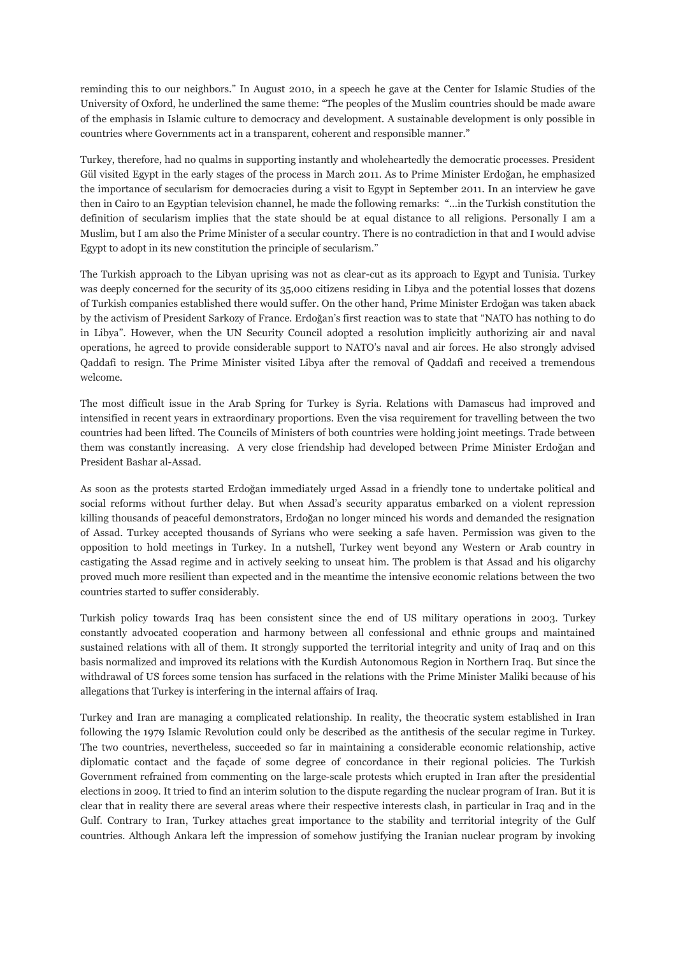reminding this to our neighbors." In August 2010, in a speech he gave at the Center for Islamic Studies of the University of Oxford, he underlined the same theme: "The peoples of the Muslim countries should be made aware of the emphasis in Islamic culture to democracy and development. A sustainable development is only possible in countries where Governments act in a transparent, coherent and responsible manner."

Turkey, therefore, had no qualms in supporting instantly and wholeheartedly the democratic processes. President Gül visited Egypt in the early stages of the process in March 2011. As to Prime Minister Erdoğan, he emphasized the importance of secularism for democracies during a visit to Egypt in September 2011. In an interview he gave then in Cairo to an Egyptian television channel, he made the following remarks: "…in the Turkish constitution the definition of secularism implies that the state should be at equal distance to all religions. Personally I am a Muslim, but I am also the Prime Minister of a secular country. There is no contradiction in that and I would advise Egypt to adopt in its new constitution the principle of secularism."

The Turkish approach to the Libyan uprising was not as clear-cut as its approach to Egypt and Tunisia. Turkey was deeply concerned for the security of its 35,000 citizens residing in Libya and the potential losses that dozens of Turkish companies established there would suffer. On the other hand, Prime Minister Erdoğan was taken aback by the activism of President Sarkozy of France. Erdoğan's first reaction was to state that "NATO has nothing to do in Libya". However, when the UN Security Council adopted a resolution implicitly authorizing air and naval operations, he agreed to provide considerable support to NATO's naval and air forces. He also strongly advised Qaddafi to resign. The Prime Minister visited Libya after the removal of Qaddafi and received a tremendous welcome.

The most difficult issue in the Arab Spring for Turkey is Syria. Relations with Damascus had improved and intensified in recent years in extraordinary proportions. Even the visa requirement for travelling between the two countries had been lifted. The Councils of Ministers of both countries were holding joint meetings. Trade between them was constantly increasing. A very close friendship had developed between Prime Minister Erdoğan and President Bashar al-Assad.

As soon as the protests started Erdoğan immediately urged Assad in a friendly tone to undertake political and social reforms without further delay. But when Assad's security apparatus embarked on a violent repression killing thousands of peaceful demonstrators, Erdoğan no longer minced his words and demanded the resignation of Assad. Turkey accepted thousands of Syrians who were seeking a safe haven. Permission was given to the opposition to hold meetings in Turkey. In a nutshell, Turkey went beyond any Western or Arab country in castigating the Assad regime and in actively seeking to unseat him. The problem is that Assad and his oligarchy proved much more resilient than expected and in the meantime the intensive economic relations between the two countries started to suffer considerably*.*

Turkish policy towards Iraq has been consistent since the end of US military operations in 2003. Turkey constantly advocated cooperation and harmony between all confessional and ethnic groups and maintained sustained relations with all of them. It strongly supported the territorial integrity and unity of Iraq and on this basis normalized and improved its relations with the Kurdish Autonomous Region in Northern Iraq. But since the withdrawal of US forces some tension has surfaced in the relations with the Prime Minister Maliki because of his allegations that Turkey is interfering in the internal affairs of Iraq.

Turkey and Iran are managing a complicated relationship. In reality, the theocratic system established in Iran following the 1979 Islamic Revolution could only be described as the antithesis of the secular regime in Turkey. The two countries, nevertheless, succeeded so far in maintaining a considerable economic relationship, active diplomatic contact and the façade of some degree of concordance in their regional policies. The Turkish Government refrained from commenting on the large-scale protests which erupted in Iran after the presidential elections in 2009. It tried to find an interim solution to the dispute regarding the nuclear program of Iran. But it is clear that in reality there are several areas where their respective interests clash, in particular in Iraq and in the Gulf. Contrary to Iran, Turkey attaches great importance to the stability and territorial integrity of the Gulf countries. Although Ankara left the impression of somehow justifying the Iranian nuclear program by invoking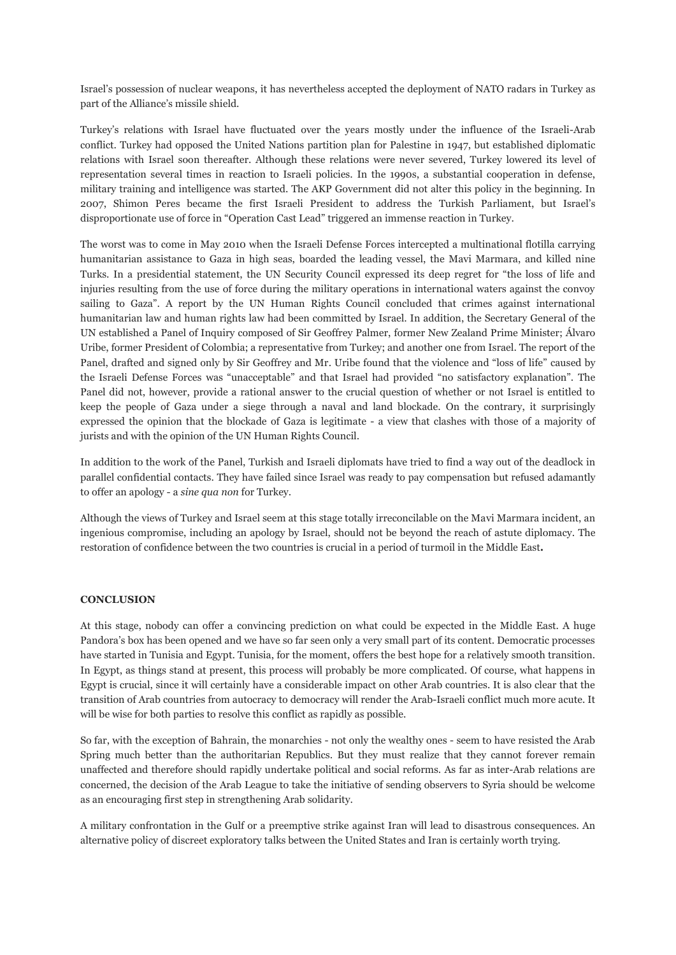Israel's possession of nuclear weapons, it has nevertheless accepted the deployment of NATO radars in Turkey as part of the Alliance's missile shield.

Turkey's relations with Israel have fluctuated over the years mostly under the influence of the Israeli-Arab conflict. Turkey had opposed the United Nations partition plan for Palestine in 1947, but established diplomatic relations with Israel soon thereafter. Although these relations were never severed, Turkey lowered its level of representation several times in reaction to Israeli policies. In the 1990s, a substantial cooperation in defense, military training and intelligence was started. The AKP Government did not alter this policy in the beginning. In 2007, Shimon Peres became the first Israeli President to address the Turkish Parliament, but Israel's disproportionate use of force in "Operation Cast Lead" triggered an immense reaction in Turkey.

The worst was to come in May 2010 when the Israeli Defense Forces intercepted a multinational flotilla carrying humanitarian assistance to Gaza in high seas, boarded the leading vessel, the Mavi Marmara, and killed nine Turks. In a presidential statement, the UN Security Council expressed its deep regret for "the loss of life and injuries resulting from the use of force during the military operations in international waters against the convoy sailing to Gaza". A report by the UN Human Rights Council concluded that crimes against international humanitarian law and human rights law had been committed by Israel. In addition, the Secretary General of the UN established a Panel of Inquiry composed of Sir Geoffrey Palmer, former New Zealand Prime Minister; Álvaro Uribe, former President of Colombia; a representative from Turkey; and another one from Israel. The report of the Panel, drafted and signed only by Sir Geoffrey and Mr. Uribe found that the violence and "loss of life" caused by the Israeli Defense Forces was "unacceptable" and that Israel had provided "no satisfactory explanation". The Panel did not, however, provide a rational answer to the crucial question of whether or not Israel is entitled to keep the people of Gaza under a siege through a naval and land blockade. On the contrary, it surprisingly expressed the opinion that the blockade of Gaza is legitimate - a view that clashes with those of a majority of jurists and with the opinion of the UN Human Rights Council.

In addition to the work of the Panel, Turkish and Israeli diplomats have tried to find a way out of the deadlock in parallel confidential contacts. They have failed since Israel was ready to pay compensation but refused adamantly to offer an apology - a *sine qua non* for Turkey.

Although the views of Turkey and Israel seem at this stage totally irreconcilable on the Mavi Marmara incident, an ingenious compromise, including an apology by Israel, should not be beyond the reach of astute diplomacy. The restoration of confidence between the two countries is crucial in a period of turmoil in the Middle East**.** 

## **CONCLUSION**

At this stage, nobody can offer a convincing prediction on what could be expected in the Middle East. A huge Pandora's box has been opened and we have so far seen only a very small part of its content. Democratic processes have started in Tunisia and Egypt. Tunisia, for the moment, offers the best hope for a relatively smooth transition. In Egypt, as things stand at present, this process will probably be more complicated. Of course, what happens in Egypt is crucial, since it will certainly have a considerable impact on other Arab countries. It is also clear that the transition of Arab countries from autocracy to democracy will render the Arab-Israeli conflict much more acute. It will be wise for both parties to resolve this conflict as rapidly as possible.

So far, with the exception of Bahrain, the monarchies - not only the wealthy ones - seem to have resisted the Arab Spring much better than the authoritarian Republics. But they must realize that they cannot forever remain unaffected and therefore should rapidly undertake political and social reforms. As far as inter-Arab relations are concerned, the decision of the Arab League to take the initiative of sending observers to Syria should be welcome as an encouraging first step in strengthening Arab solidarity.

A military confrontation in the Gulf or a preemptive strike against Iran will lead to disastrous consequences. An alternative policy of discreet exploratory talks between the United States and Iran is certainly worth trying.